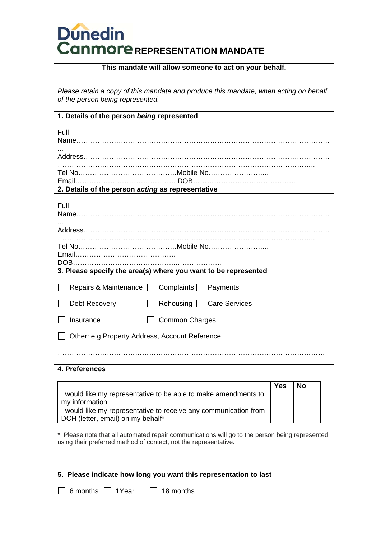# **Dunedin<br>Canmore** REPRESENTATION MANDATE

| This mandate will allow someone to act on your behalf.                                                                                                             |            |           |  |
|--------------------------------------------------------------------------------------------------------------------------------------------------------------------|------------|-----------|--|
| Please retain a copy of this mandate and produce this mandate, when acting on behalf<br>of the person being represented.                                           |            |           |  |
| 1. Details of the person being represented                                                                                                                         |            |           |  |
| Full                                                                                                                                                               |            |           |  |
|                                                                                                                                                                    |            |           |  |
|                                                                                                                                                                    |            |           |  |
| 2. Details of the person acting as representative                                                                                                                  |            |           |  |
| Full                                                                                                                                                               |            |           |  |
|                                                                                                                                                                    |            |           |  |
| 3. Please specify the area(s) where you want to be represented                                                                                                     |            |           |  |
| Repairs & Maintenance □ Complaints □ Payments                                                                                                                      |            |           |  |
| Debt Recovery<br>Rehousing   Care Services                                                                                                                         |            |           |  |
| <b>Common Charges</b><br>Insurance                                                                                                                                 |            |           |  |
| Other: e.g Property Address, Account Reference:                                                                                                                    |            |           |  |
|                                                                                                                                                                    |            |           |  |
| 4. Preferences                                                                                                                                                     |            |           |  |
|                                                                                                                                                                    | <b>Yes</b> | <b>No</b> |  |
| I would like my representative to be able to make amendments to<br>my information                                                                                  |            |           |  |
| I would like my representative to receive any communication from<br>DCH (letter, email) on my behalf*                                                              |            |           |  |
| * Please note that all automated repair communications will go to the person being represented<br>using their preferred method of contact, not the representative. |            |           |  |
| 5. Please indicate how long you want this representation to last                                                                                                   |            |           |  |
|                                                                                                                                                                    |            |           |  |
| 6 months $\Box$<br>18 months<br>1Year                                                                                                                              |            |           |  |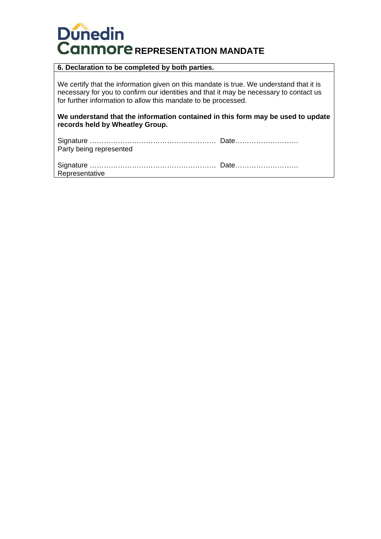# **Dunedin Canmore REPRESENTATION MANDATE**

## **6. Declaration to be completed by both parties.**

We certify that the information given on this mandate is true. We understand that it is necessary for you to confirm our identities and that it may be necessary to contact us for further information to allow this mandate to be processed.

**We understand that the information contained in this form may be used to update records held by Wheatley Group.** 

| Party being represented |  |
|-------------------------|--|

| Representative |  |
|----------------|--|